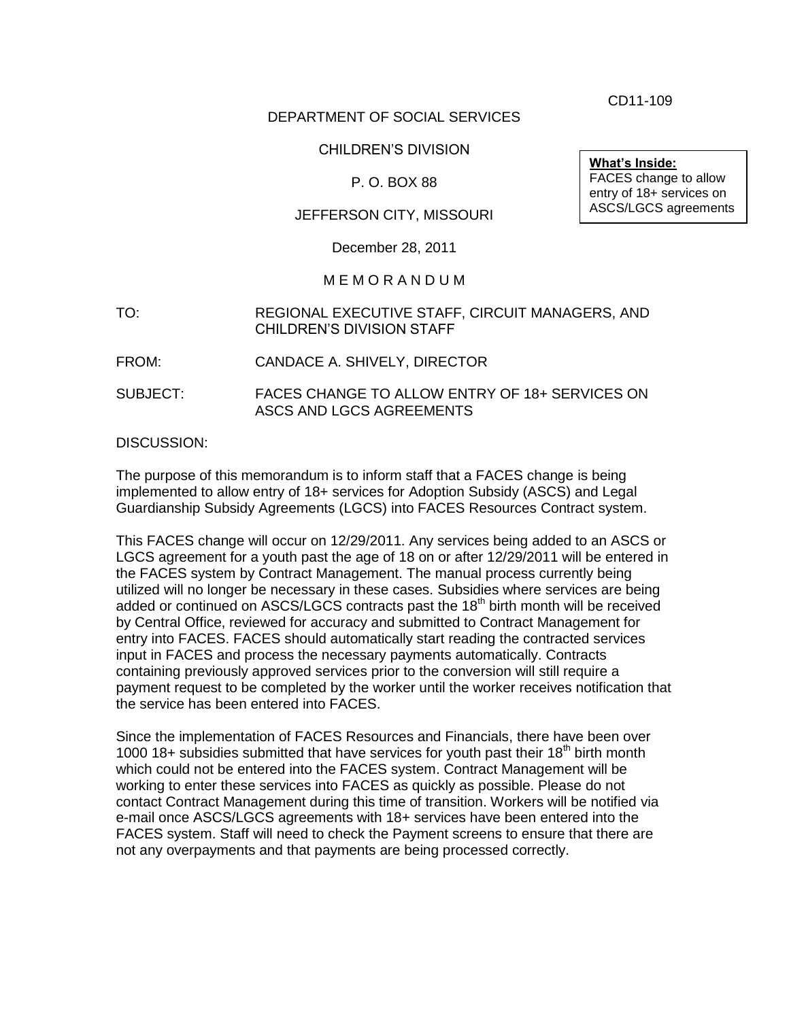CD11-109

## DEPARTMENT OF SOCIAL SERVICES

#### CHILDREN'S DIVISION

## P. O. BOX 88

## JEFFERSON CITY, MISSOURI

December 28, 2011

#### M E M O R A N D U M

- TO: REGIONAL EXECUTIVE STAFF, CIRCUIT MANAGERS, AND CHILDREN'S DIVISION STAFF
- FROM: CANDACE A. SHIVELY, DIRECTOR
- SUBJECT: FACES CHANGE TO ALLOW ENTRY OF 18+ SERVICES ON ASCS AND LGCS AGREEMENTS

#### DISCUSSION:

The purpose of this memorandum is to inform staff that a FACES change is being implemented to allow entry of 18+ services for Adoption Subsidy (ASCS) and Legal Guardianship Subsidy Agreements (LGCS) into FACES Resources Contract system.

This FACES change will occur on 12/29/2011. Any services being added to an ASCS or LGCS agreement for a youth past the age of 18 on or after 12/29/2011 will be entered in the FACES system by Contract Management. The manual process currently being utilized will no longer be necessary in these cases. Subsidies where services are being added or continued on ASCS/LGCS contracts past the 18<sup>th</sup> birth month will be received by Central Office, reviewed for accuracy and submitted to Contract Management for entry into FACES. FACES should automatically start reading the contracted services input in FACES and process the necessary payments automatically. Contracts containing previously approved services prior to the conversion will still require a payment request to be completed by the worker until the worker receives notification that the service has been entered into FACES.

Since the implementation of FACES Resources and Financials, there have been over 1000 18+ subsidies submitted that have services for youth past their 18<sup>th</sup> birth month which could not be entered into the FACES system. Contract Management will be working to enter these services into FACES as quickly as possible. Please do not contact Contract Management during this time of transition. Workers will be notified via e-mail once ASCS/LGCS agreements with 18+ services have been entered into the FACES system. Staff will need to check the Payment screens to ensure that there are not any overpayments and that payments are being processed correctly.

**What's Inside:** FACES change to allow entry of 18+ services on ASCS/LGCS agreements